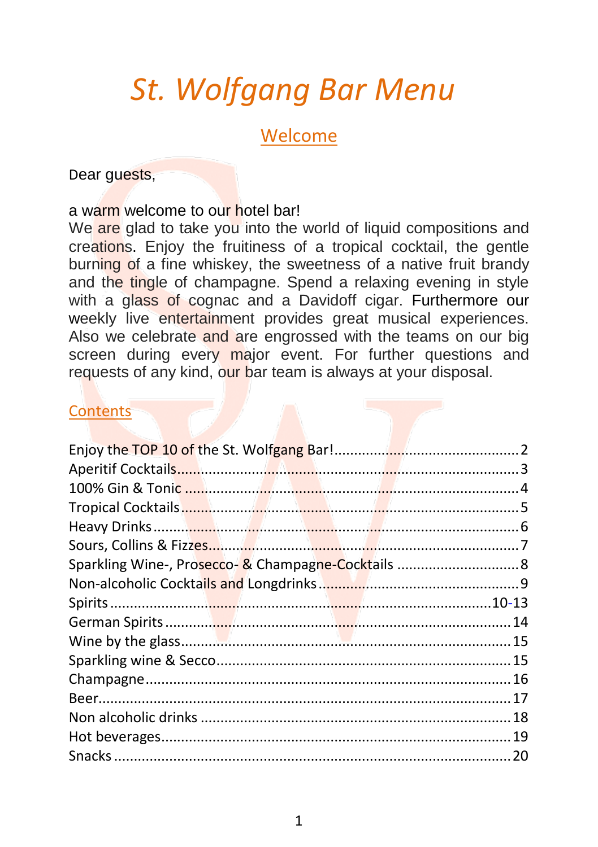# *St. Wolfgang Bar Menu*

#### Welcome

Dear guests,

#### a warm welcome to our hotel bar!

We are glad to take you into the world of liquid compositions and creations. Enjoy the fruitiness of a tropical cocktail, the gentle burning of a fine whiskey, the sweetness of a native fruit brandy and the tingle of champagne. Spend a relaxing evening in style with a glass of cognac and a Davidoff cigar. Furthermore our weekly live entertainment provides great musical experiences. Also we celebrate and are engrossed with the teams on our big screen during every major event. For further questions and requests of any kind, our bar team is always at your disposal.

#### **Contents**

| Sparkling Wine-, Prosecco-& Champagne-Cocktails  8 |  |
|----------------------------------------------------|--|
|                                                    |  |
|                                                    |  |
|                                                    |  |
|                                                    |  |
|                                                    |  |
|                                                    |  |
|                                                    |  |
|                                                    |  |
|                                                    |  |
|                                                    |  |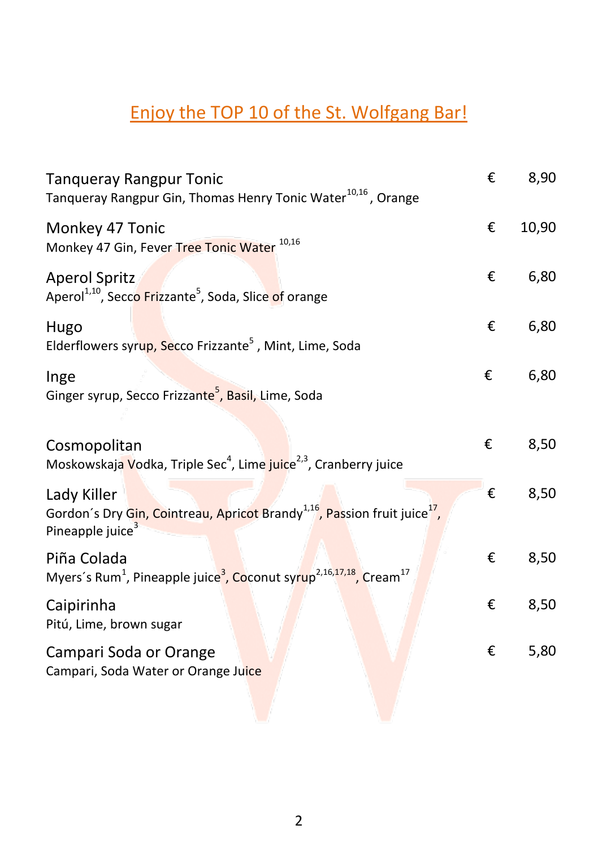# <span id="page-1-0"></span>Enjoy the TOP 10 of the St. Wolfgang Bar!

| <b>Tanqueray Rangpur Tonic</b><br>Tanqueray Rangpur Gin, Thomas Henry Tonic Water <sup>10,16</sup> , Orange                                      | € | 8,90  |
|--------------------------------------------------------------------------------------------------------------------------------------------------|---|-------|
| Monkey 47 Tonic<br>Monkey 47 Gin, Fever Tree Tonic Water 10,16                                                                                   | € | 10,90 |
| <b>Aperol Spritz</b><br>Aperol <sup>1,10</sup> , Secco Frizzante <sup>5</sup> , Soda, Slice of orange                                            | € | 6,80  |
| Hugo<br>Elderflowers syrup, Secco Frizzante <sup>5</sup> , Mint, Lime, Soda                                                                      | € | 6,80  |
| Inge<br>Ginger syrup, Secco Frizzante <sup>5</sup> , Basil, Lime, Soda                                                                           | € | 6,80  |
| Cosmopolitan<br>Moskowskaja Vodka, Triple Sec <sup>4</sup> , Lime juice <sup>2,3</sup> , Cranberry juice                                         | € | 8,50  |
| Lady Killer<br>Gordon's Dry Gin, Cointreau, Apricot Brandy <sup>1,16</sup> , Passion fruit juice <sup>17</sup> ,<br>Pineapple juice <sup>3</sup> | € | 8,50  |
| Piña Colada<br>Myers's Rum <sup>1</sup> , Pineapple juice <sup>3</sup> , Coconut syrup <sup>2,16,17,18</sup> , Cream <sup>17</sup>               | € | 8,50  |
| Caipirinha<br>Pitú, Lime, brown sugar                                                                                                            | € | 8,50  |
| Campari Soda or Orange<br>Campari, Soda Water or Orange Juice                                                                                    | € | 5,80  |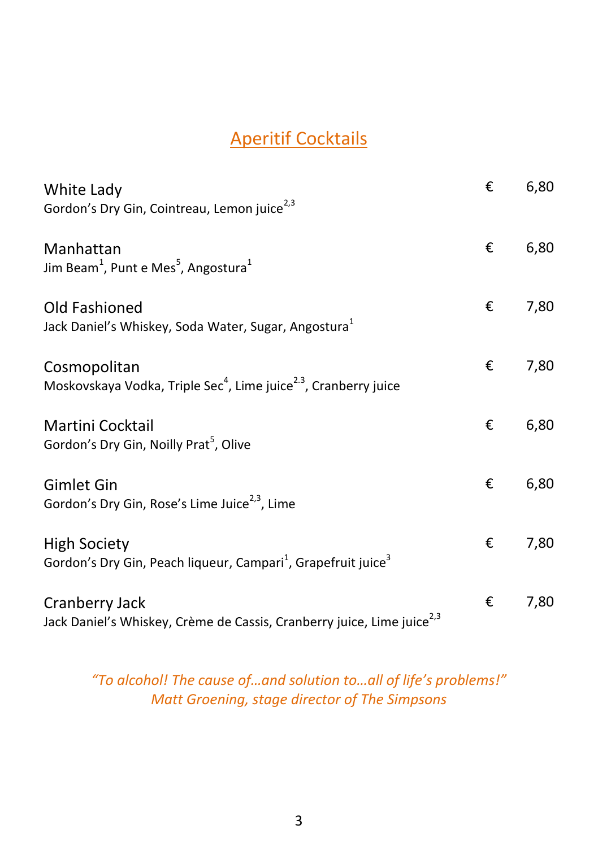### Aperitif Cocktails

<span id="page-2-0"></span>

| White Lady<br>Gordon's Dry Gin, Cointreau, Lemon juice <sup>2,3</sup>                                        | € | 6,80 |
|--------------------------------------------------------------------------------------------------------------|---|------|
| Manhattan<br>Jim Beam <sup>1</sup> , Punt e Mes <sup>5</sup> , Angostura <sup>1</sup>                        | € | 6,80 |
| Old Fashioned<br>Jack Daniel's Whiskey, Soda Water, Sugar, Angostura <sup>1</sup>                            | € | 7,80 |
| Cosmopolitan<br>Moskovskaya Vodka, Triple Sec <sup>4</sup> , Lime juice <sup>2.3</sup> , Cranberry juice     | € | 7,80 |
| Martini Cocktail<br>Gordon's Dry Gin, Noilly Prat <sup>5</sup> , Olive                                       | € | 6,80 |
| <b>Gimlet Gin</b><br>Gordon's Dry Gin, Rose's Lime Juice <sup>2,3</sup> , Lime                               | € | 6,80 |
| <b>High Society</b><br>Gordon's Dry Gin, Peach liqueur, Campari <sup>1</sup> , Grapefruit juice <sup>3</sup> | € | 7,80 |
| Cranberry Jack<br>Jack Daniel's Whiskey, Crème de Cassis, Cranberry juice, Lime juice <sup>2,3</sup>         | € | 7,80 |

#### *"To alcohol! The cause of…and solution to…all of life's problems!" Matt Groening, stage director of The Simpsons*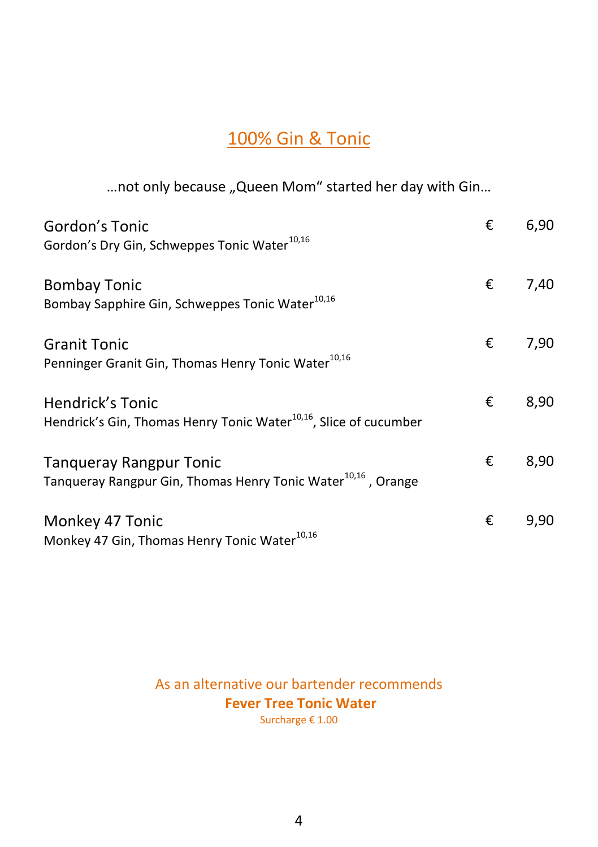#### 100% Gin & Tonic

<span id="page-3-0"></span>... not only because "Queen Mom" started her day with Gin...

| Gordon's Tonic                                                                | € | 6,90 |
|-------------------------------------------------------------------------------|---|------|
| Gordon's Dry Gin, Schweppes Tonic Water <sup>10,16</sup>                      |   |      |
| <b>Bombay Tonic</b>                                                           | € | 7,40 |
| Bombay Sapphire Gin, Schweppes Tonic Water <sup>10,16</sup>                   |   |      |
| <b>Granit Tonic</b>                                                           | € | 7,90 |
| Penninger Granit Gin, Thomas Henry Tonic Water <sup>10,16</sup>               |   |      |
| Hendrick's Tonic                                                              | € | 8,90 |
| Hendrick's Gin, Thomas Henry Tonic Water <sup>10,16</sup> , Slice of cucumber |   |      |
| <b>Tanqueray Rangpur Tonic</b>                                                | € | 8,90 |
| Tanqueray Rangpur Gin, Thomas Henry Tonic Water <sup>10,16</sup> , Orange     |   |      |
| Monkey 47 Tonic                                                               | € | 9,90 |
| Monkey 47 Gin, Thomas Henry Tonic Water <sup>10,16</sup>                      |   |      |

As an alternative our bartender recommends **Fever Tree Tonic Water** Surcharge € 1.00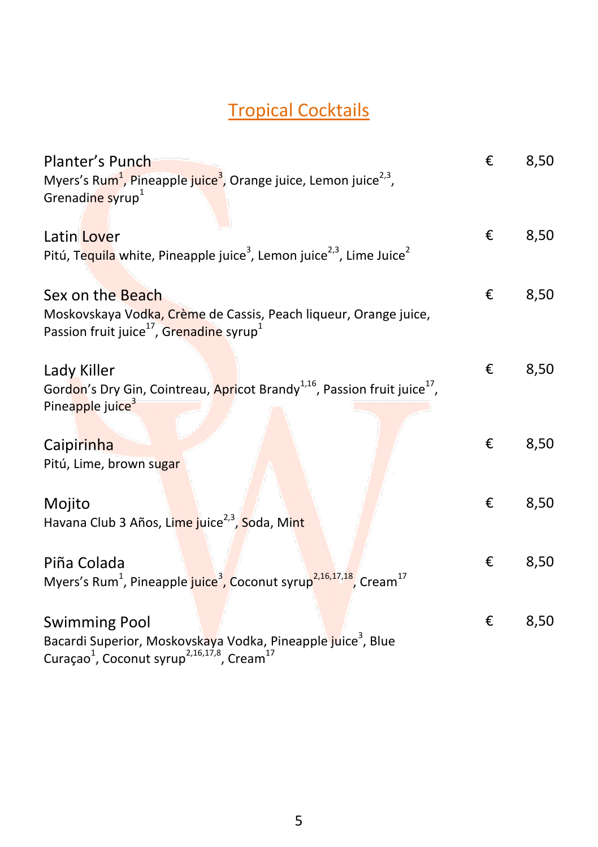# Tropical Cocktails

<span id="page-4-0"></span>

| Planter's Punch                                                                                                                      | € | 8,50 |
|--------------------------------------------------------------------------------------------------------------------------------------|---|------|
| Myers's Rum <sup>1</sup> , Pineapple juice <sup>3</sup> , Orange juice, Lemon juice <sup>2,3</sup> ,<br>Grenadine syrup <sup>1</sup> |   |      |
|                                                                                                                                      |   |      |
| Latin Lover                                                                                                                          | € | 8,50 |
| Pitú, Tequila white, Pineapple juice <sup>3</sup> , Lemon juice <sup>2,3</sup> , Lime Juice <sup>2</sup>                             |   |      |
|                                                                                                                                      |   |      |
| Sex on the Beach                                                                                                                     | € | 8,50 |
| Moskovskaya Vodka, Crème de Cassis, Peach liqueur, Orange juice,                                                                     |   |      |
| Passion fruit juice <sup>17</sup> , Grenadine syrup <sup>1</sup>                                                                     |   |      |
|                                                                                                                                      |   |      |
| Lady Killer                                                                                                                          | € | 8,50 |
| Gordon's Dry Gin, Cointreau, Apricot Brandy <sup>1,16</sup> , Passion fruit juice <sup>17</sup> ,                                    |   |      |
| Pineapple juice <sup>3</sup>                                                                                                         |   |      |
|                                                                                                                                      |   |      |
| Caipirinha                                                                                                                           | € | 8,50 |
| Pitú, Lime, brown sugar                                                                                                              |   |      |
|                                                                                                                                      |   |      |
| Mojito                                                                                                                               | € | 8,50 |
| Havana Club 3 Años, Lime juice <sup>2,3</sup> , Soda, Mint                                                                           |   |      |
|                                                                                                                                      |   |      |
|                                                                                                                                      | € | 8,50 |
| Piña Colada<br>Myers's Rum <sup>1</sup> , Pineapple juice <sup>3</sup> , Coconut syrup <sup>2,16,17,18</sup> , Cream <sup>17</sup>   |   |      |
|                                                                                                                                      |   |      |
|                                                                                                                                      |   |      |
| <b>Swimming Pool</b>                                                                                                                 | € | 8,50 |
| Bacardi Superior, Moskovskaya Vodka, Pineapple juice <sup>3</sup> , Blue                                                             |   |      |
| Curaçao <sup>1</sup> , Coconut syrup <sup>2,16,17,8</sup> , Cream <sup>17</sup>                                                      |   |      |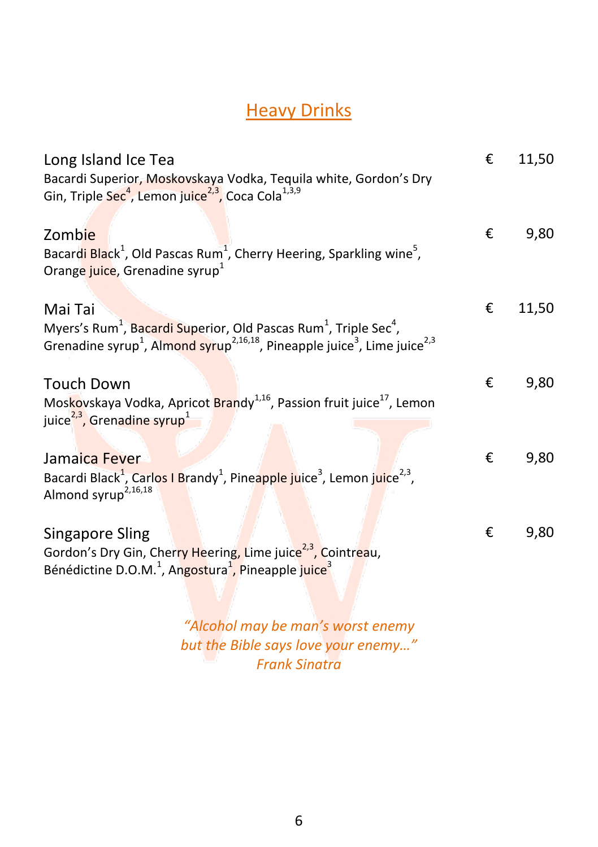# **Heavy Drinks**

<span id="page-5-0"></span>

| Long Island Ice Tea                                                                                                                                        | € | 11,50 |
|------------------------------------------------------------------------------------------------------------------------------------------------------------|---|-------|
| Bacardi Superior, Moskovskaya Vodka, Tequila white, Gordon's Dry<br>Gin, Triple Sec <sup>4</sup> , Lemon juice <sup>2,3</sup> , Coca Cola <sup>1,3,9</sup> |   |       |
|                                                                                                                                                            |   |       |
| Zombie                                                                                                                                                     | € | 9,80  |
| Bacardi Black <sup>1</sup> , Old Pascas Rum <sup>1</sup> , Cherry Heering, Sparkling wine <sup>5</sup> ,                                                   |   |       |
| Orange juice, Grenadine syrup <sup>1</sup>                                                                                                                 |   |       |
| Mai Tai                                                                                                                                                    | € | 11,50 |
| Myers's Rum <sup>1</sup> , Bacardi Superior, Old Pascas Rum <sup>1</sup> , Triple Sec <sup>4</sup> ,                                                       |   |       |
| Grenadine syrup <sup>1</sup> , Almond syrup <sup>2,16,18</sup> , Pineapple juice <sup>3</sup> , Lime juice <sup>2,3</sup>                                  |   |       |
|                                                                                                                                                            |   |       |
| <b>Touch Down</b>                                                                                                                                          | € | 9,80  |
| Moskovskaya Vodka, Apricot Brandy <sup>1,16</sup> , Passion fruit juice <sup>17</sup> , Lemon                                                              |   |       |
| juice <sup>2,3</sup> , Grenadine syrup <sup>1</sup>                                                                                                        |   |       |
|                                                                                                                                                            |   |       |
| Jamaica Fever                                                                                                                                              | € | 9,80  |
| Bacardi Black <sup>1</sup> , Carlos I Brandy <sup>1</sup> , Pineapple juice <sup>3</sup> , Lemon juice <sup>2,3</sup> ,                                    |   |       |
| Almond syrup <sup>2,16,18</sup>                                                                                                                            |   |       |
| <b>Singapore Sling</b>                                                                                                                                     | € | 9,80  |
| Gordon's Dry Gin, Cherry Heering, Lime juice <sup>2,3</sup> , Cointreau,                                                                                   |   |       |
| Bénédictine D.O.M. <sup>1</sup> , Angostura <sup>1</sup> , Pineapple juice <sup>3</sup>                                                                    |   |       |
|                                                                                                                                                            |   |       |

*"Alcohol may be man's worst enemy but the Bible says love your enemy…" Frank Sinatra*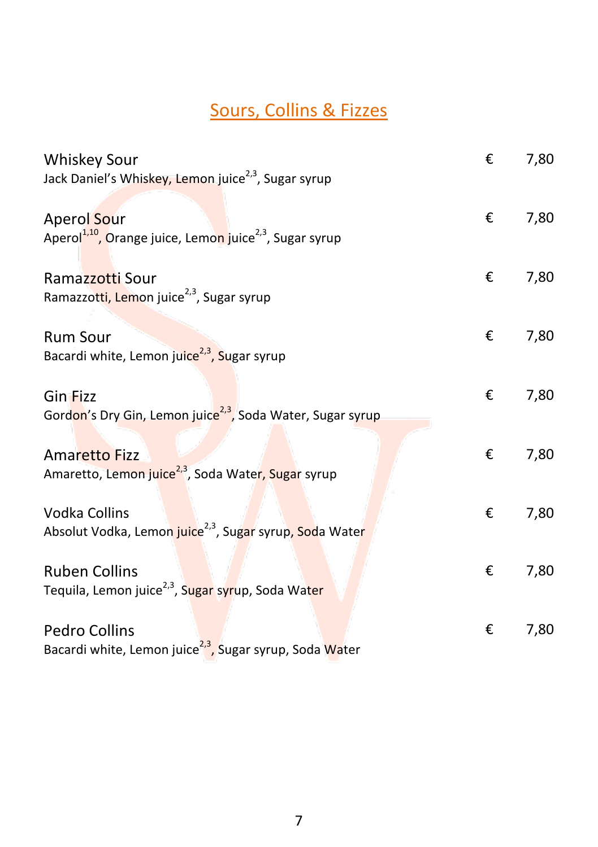# Sours, Collins & Fizzes

<span id="page-6-0"></span>

| <b>Whiskey Sour</b>                                                                            | € | 7,80 |
|------------------------------------------------------------------------------------------------|---|------|
| Jack Daniel's Whiskey, Lemon juice <sup>2,3</sup> , Sugar syrup                                |   |      |
| Aperol Sour<br>Aperol <sup>1,10</sup> , Orange juice, Lemon juice <sup>2,3</sup> , Sugar syrup | € | 7,80 |
| Ramazzotti Sour<br>Ramazzotti, Lemon juice <sup>2,3</sup> , Sugar syrup                        | € | 7,80 |
| <b>Rum Sour</b><br>Bacardi white, Lemon juice <sup>2,3</sup> , Sugar syrup                     | € | 7,80 |
| <b>Gin Fizz</b><br>Gordon's Dry Gin, Lemon juice <sup>2,3</sup> , Soda Water, Sugar syrup      | € | 7,80 |
| <b>Amaretto Fizz</b><br>Amaretto, Lemon juice <sup>2,3</sup> , Soda Water, Sugar syrup         | € | 7,80 |
| Vodka Collins<br>Absolut Vodka, Lemon juice <sup>2,3</sup> , Sugar syrup, Soda Water           | € | 7,80 |
| <b>Ruben Collins</b><br>Tequila, Lemon juice <sup>2,3</sup> , Sugar syrup, Soda Water          | € | 7,80 |
| Pedro Collins<br>Bacardi white, Lemon juice <sup>2,3</sup> , Sugar syrup, Soda Water           | € | 7,80 |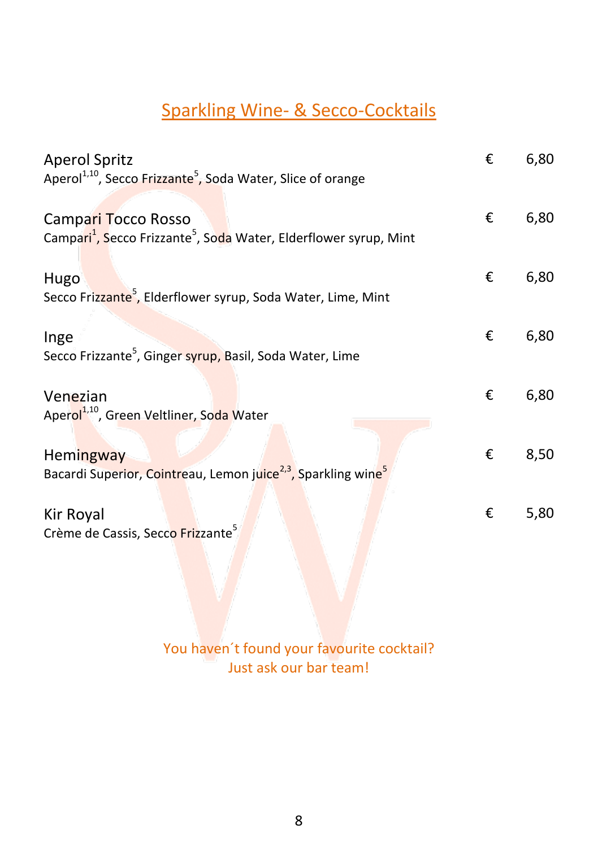# Sparkling Wine- & Secco-Cocktails

<span id="page-7-0"></span>

| <b>Aperol Spritz</b><br>Aperol <sup>1,10</sup> , Secco Frizzante <sup>5</sup> , Soda Water, Slice of orange      | € | 6,80 |
|------------------------------------------------------------------------------------------------------------------|---|------|
|                                                                                                                  |   |      |
| Campari Tocco Rosso<br>Campari <sup>1</sup> , Secco Frizzante <sup>5</sup> , Soda Water, Elderflower syrup, Mint | € | 6,80 |
| Hugo                                                                                                             | € | 6,80 |
| Secco Frizzante <sup>5</sup> , Elderflower syrup, Soda Water, Lime, Mint                                         |   |      |
| Inge                                                                                                             | € | 6,80 |
| Secco Frizzante <sup>5</sup> , Ginger syrup, Basil, Soda Water, Lime                                             |   |      |
| Venezian                                                                                                         | € | 6,80 |
| Aperol <sup>1,10</sup> , Green Veltliner, Soda Water                                                             |   |      |
| <b>Hemingway</b>                                                                                                 | € | 8,50 |
| Bacardi Superior, Cointreau, Lemon juice <sup>2,3</sup> , Sparkling wine <sup>5</sup>                            |   |      |
| Kir Royal                                                                                                        | € | 5,80 |
| Crème de Cassis, Secco Frizzante <sup>5</sup>                                                                    |   |      |
|                                                                                                                  |   |      |

You haven't found your favourite cocktail? Just ask our bar team!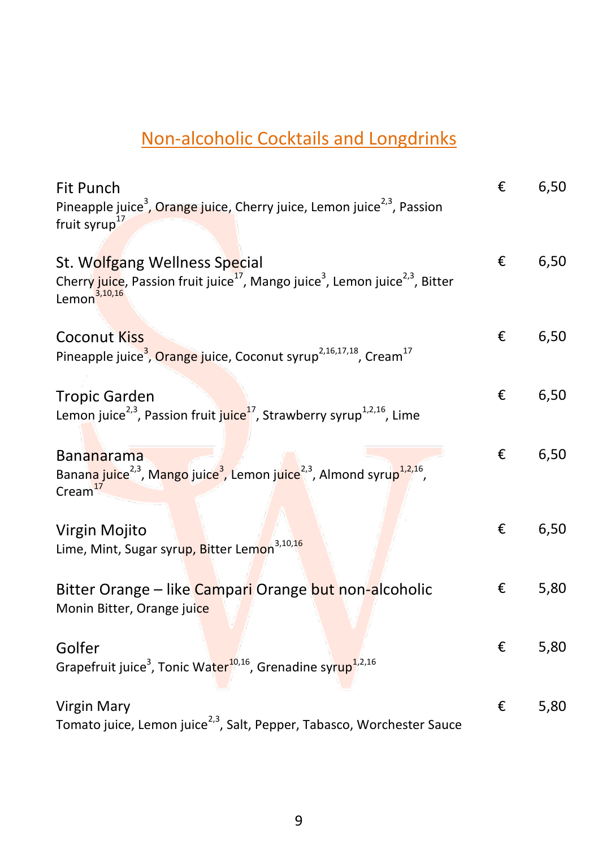# <span id="page-8-0"></span>Non-alcoholic Cocktails and Longdrinks

| Fit Punch                                                                                                                                                                     | € | 6,50 |
|-------------------------------------------------------------------------------------------------------------------------------------------------------------------------------|---|------|
| Pineapple juice <sup>3</sup> , Orange juice, Cherry juice, Lemon juice <sup>2,3</sup> , Passion<br>fruit syrup <sup>17</sup>                                                  |   |      |
| St. Wolfgang Wellness Special<br>Cherry juice, Passion fruit juice <sup>17</sup> , Mango juice <sup>3</sup> , Lemon juice <sup>2,3</sup> , Bitter<br>Lemon <sup>3,10,16</sup> | € | 6,50 |
| <b>Coconut Kiss</b><br>Pineapple juice <sup>3</sup> , Orange juice, Coconut syrup <sup>2,16,17,18</sup> , Cream <sup>17</sup>                                                 | € | 6,50 |
| <b>Tropic Garden</b><br>Lemon juice <sup>2,3</sup> , Passion fruit juice <sup>17</sup> , Strawberry syrup <sup>1,2,16</sup> , Lime                                            | € | 6,50 |
| <b>Bananarama</b><br>Banana juice <sup>2,3</sup> , Mango juice <sup>3</sup> , Lemon juice <sup>2,3</sup> , Almond syrup <sup>1,2,16</sup> ,<br>$C$ ream $^{17}$               | € | 6,50 |
| Virgin Mojito<br>Lime, Mint, Sugar syrup, Bitter Lemon <sup>3,10,16</sup>                                                                                                     | € | 6,50 |
| Bitter Orange - like Campari Orange but non-alcoholic<br>Monin Bitter, Orange juice                                                                                           | € | 5,80 |
| Golfer<br>Grapefruit juice <sup>3</sup> , Tonic Water <sup>10,16</sup> , Grenadine syrup <sup>1,2,16</sup>                                                                    | € | 5,80 |
| <b>Virgin Mary</b><br>Tomato juice, Lemon juice <sup>2,3</sup> , Salt, Pepper, Tabasco, Worchester Sauce                                                                      | € | 5,80 |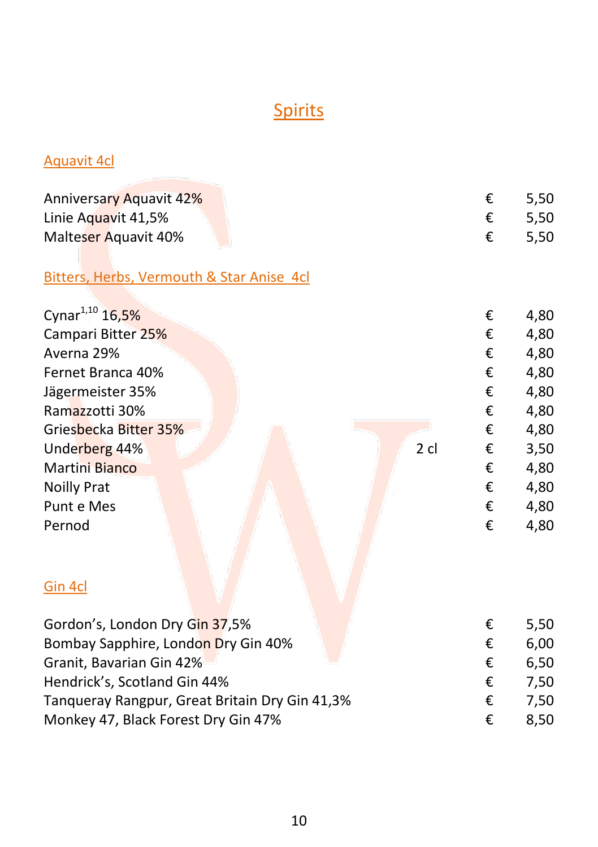# **Spirits**

#### <span id="page-9-0"></span>Aquavit 4cl

| <b>Anniversary Aquavit 42%</b> | $\epsilon$ 5.50 |
|--------------------------------|-----------------|
| Linie Aguavit 41,5%            | $\epsilon$ 5.50 |
| Malteser Aquavit 40%           | $\epsilon$ 5.50 |

#### Bitters, Herbs, Vermouth & Star Anise 4cl

| Cynar <sup>1,10</sup> 16,5% |        | € | 4,80 |
|-----------------------------|--------|---|------|
| Campari Bitter 25%          |        | € | 4,80 |
| Averna 29%                  |        | € | 4,80 |
| Fernet Branca 40%           |        | € | 4,80 |
| Jägermeister 35%            |        | € | 4,80 |
| Ramazzotti 30%              |        | € | 4,80 |
| Griesbecka Bitter 35%       |        | € | 4,80 |
| Underberg 44%               | $2$ cl | € | 3,50 |
| <b>Martini Bianco</b>       |        | € | 4,80 |
| <b>Noilly Prat</b>          |        | € | 4,80 |
| Punt e Mes                  |        | € | 4,80 |
| Pernod                      |        | € | 4,80 |
|                             |        |   |      |
| Gin 4cl                     |        |   |      |
|                             |        |   |      |
|                             |        |   |      |

|   | 5.50 |
|---|------|
| € | 6.00 |
| € | 6.50 |
| € | 7.50 |
| € | 7.50 |
| € | 8.50 |
|   |      |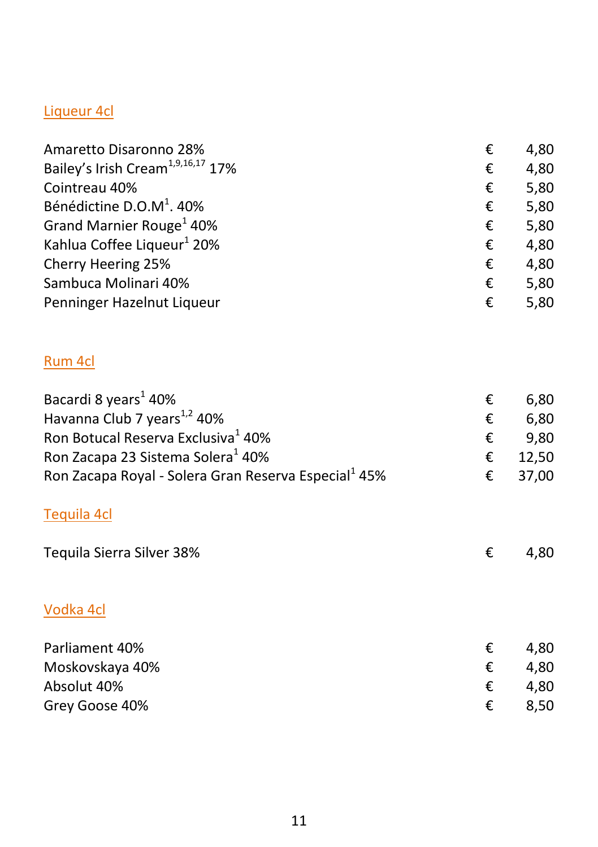#### Liqueur 4cl

| Amaretto Disaronno 28%                        | € | 4,80 |
|-----------------------------------------------|---|------|
| Bailey's Irish Cream <sup>1,9,16,17</sup> 17% | € | 4,80 |
| Cointreau 40%                                 | € | 5,80 |
| Bénédictine D.O.M <sup>1</sup> . 40%          | € | 5,80 |
| Grand Marnier Rouge <sup>1</sup> 40%          | € | 5,80 |
| Kahlua Coffee Liqueur <sup>1</sup> 20%        | € | 4,80 |
| Cherry Heering 25%                            | € | 4,80 |
| Sambuca Molinari 40%                          | € | 5,80 |
| Penninger Hazelnut Liqueur                    | € | 5,80 |
|                                               |   |      |

#### Rum 4cl

| Bacardi 8 years <sup>1</sup> 40%                                 | € | 6,80  |
|------------------------------------------------------------------|---|-------|
| Havanna Club 7 years <sup>1,2</sup> 40%                          | € | 6,80  |
| Ron Botucal Reserva Exclusiva <sup>1</sup> 40%                   | € | 9,80  |
| Ron Zacapa 23 Sistema Solera <sup>1</sup> 40%                    | € | 12,50 |
| Ron Zacapa Royal - Solera Gran Reserva Especial <sup>1</sup> 45% | € | 37,00 |
| Tequila 4cl                                                      |   |       |
| Tequila Sierra Silver 38%                                        | € | 4,80  |
| Vodka 4cl                                                        |   |       |
| Parliament 40%                                                   | € | 4,80  |
| Moskovskaya 40%                                                  | € | 4,80  |
| Absolut 40%                                                      | € | 4,80  |
| Grey Goose 40%                                                   | € | 8,50  |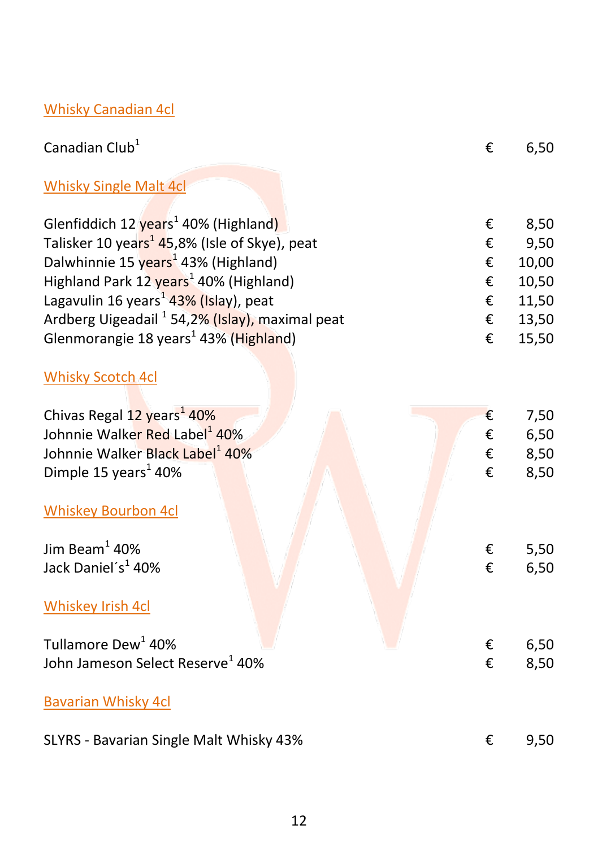### Whisky Canadian 4cl

| Canadian Club <sup>1</sup>                                  | € | 6,50  |
|-------------------------------------------------------------|---|-------|
| <b>Whisky Single Malt 4cl</b>                               |   |       |
| Glenfiddich 12 years <sup>1</sup> 40% (Highland)            | € | 8,50  |
| Talisker 10 years <sup>1</sup> 45,8% (Isle of Skye), peat   | € | 9,50  |
| Dalwhinnie 15 years <sup>1</sup> 43% (Highland)             | € | 10,00 |
| Highland Park 12 years <sup>1</sup> 40% (Highland)          | € | 10,50 |
| Lagavulin 16 years <sup>1</sup> 43% (Islay), peat           | € | 11,50 |
| Ardberg Uigeadail <sup>1</sup> 54, 2% (Islay), maximal peat | € | 13,50 |
| Glenmorangie 18 years <sup>1</sup> 43% (Highland)           | € | 15,50 |
|                                                             |   |       |
| <b>Whisky Scotch 4cl</b>                                    |   |       |
| Chivas Regal 12 years <sup>1</sup> 40%                      | € | 7,50  |
| Johnnie Walker Red Label <sup>1</sup> 40%                   | € | 6,50  |
| Johnnie Walker Black Label <sup>1</sup> 40%                 | € | 8,50  |
| Dimple 15 years <sup>1</sup> 40%                            | € | 8,50  |
|                                                             |   |       |
| <b>Whiskey Bourbon 4cl</b>                                  |   |       |
| Jim Beam $1$ 40%                                            | € | 5,50  |
| Jack Daniel's <sup>1</sup> 40%                              | € | 6,50  |
|                                                             |   |       |
| <b>Whiskey Irish 4cl</b>                                    |   |       |
|                                                             |   |       |
| Tullamore Dew <sup>1</sup> 40%                              | € | 6,50  |
| John Jameson Select Reserve <sup>1</sup> 40%                | € | 8,50  |
| <b>Bavarian Whisky 4cl</b>                                  |   |       |
| SLYRS - Bavarian Single Malt Whisky 43%                     | € | 9,50  |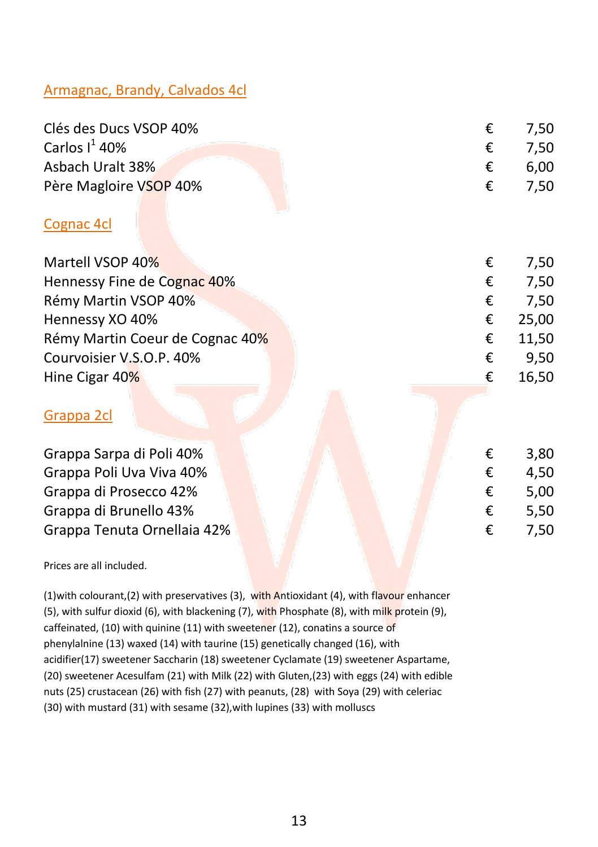#### Armagnac, Brandy, Calvados 4cl

| Clés des Ducs VSOP 40% |   | $\epsilon$ 7.50 |
|------------------------|---|-----------------|
| Carlos $I^1$ 40%       |   | $\epsilon$ 7.50 |
| Asbach Uralt 38%       | € | 6.00            |
| Père Magloire VSOP 40% |   | $\epsilon$ 7.50 |
|                        |   |                 |

#### Cognac 4cl

| Martell VSOP 40%                | € | 7,50  |
|---------------------------------|---|-------|
| Hennessy Fine de Cognac 40%     | € | 7,50  |
| Rémy Martin VSOP 40%            | € | 7,50  |
| Hennessy XO 40%                 | € | 25,00 |
| Rémy Martin Coeur de Cognac 40% | € | 11,50 |
| Courvoisier V.S.O.P. 40%        | € | 9,50  |
| Hine Cigar 40%                  | € | 16,50 |
| Grappa 2cl                      |   |       |
| Grappa Sarpa di Poli 40%        | € | 3,80  |
| Grappa Poli Uva Viva 40%        | € | 4,50  |
| Grappa di Prosecco 42%          | € | 5,00  |
| Grappa di Brunello 43%          | € | 5,50  |
| Grappa Tenuta Ornellaia 42%     | € | 7,50  |

Prices are all included.

(1)with colourant,(2) with preservatives (3), with Antioxidant (4), with flavour enhancer (5), with sulfur dioxid (6), with blackening (7), with Phosphate (8), with milk protein (9), caffeinated, (10) with quinine (11) with sweetener (12), conatins a source of phenylalnine (13) waxed (14) with taurine (15) genetically changed (16), with acidifier(17) sweetener Saccharin (18) sweetener Cyclamate (19) sweetener Aspartame, (20) sweetener Acesulfam (21) with Milk (22) with Gluten,(23) with eggs (24) with edible nuts (25) crustacean (26) with fish (27) with peanuts, (28) with Soya (29) with celeriac (30) with mustard (31) with sesame (32),with lupines (33) with molluscs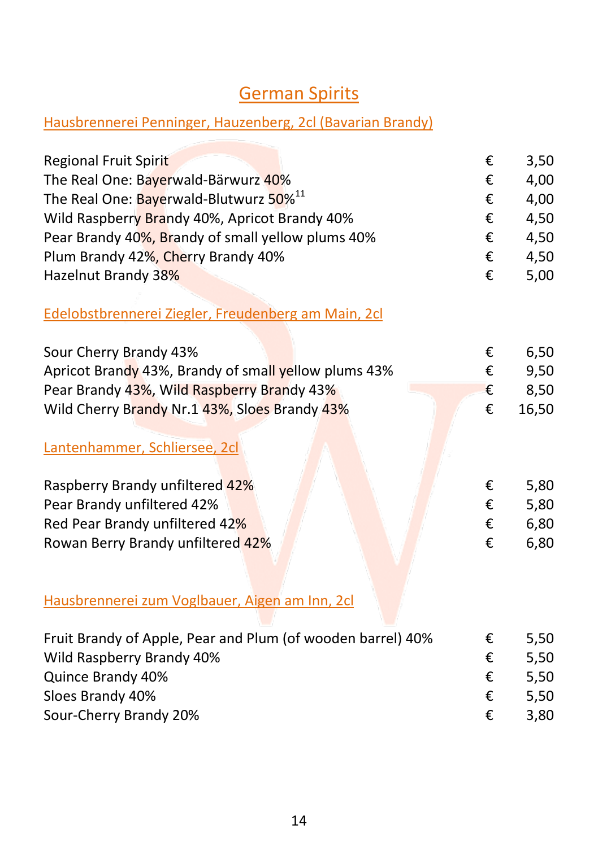### German Spirits

#### <span id="page-13-0"></span>Hausbrennerei Penninger, Hauzenberg, 2cl (Bavarian Brandy)

| <b>Regional Fruit Spirit</b>                                | €      | 3,50  |
|-------------------------------------------------------------|--------|-------|
| The Real One: Bayerwald-Bärwurz 40%                         | €      | 4,00  |
| The Real One: Bayerwald-Blutwurz 50% <sup>11</sup>          | €      | 4,00  |
| Wild Raspberry Brandy 40%, Apricot Brandy 40%               | €      | 4,50  |
| Pear Brandy 40%, Brandy of small yellow plums 40%           | €      | 4,50  |
| Plum Brandy 42%, Cherry Brandy 40%                          | €      | 4,50  |
| Hazelnut Brandy 38%                                         | €      | 5,00  |
| Edelobstbrennerei Ziegler, Freudenberg am Main, 2cl         |        |       |
| Sour Cherry Brandy 43%                                      |        | 6,50  |
| Apricot Brandy 43%, Brandy of small yellow plums 43%        | €<br>€ | 9,50  |
|                                                             |        |       |
| Pear Brandy 43%, Wild Raspberry Brandy 43%                  | €<br>€ | 8,50  |
| Wild Cherry Brandy Nr.1 43%, Sloes Brandy 43%               |        | 16,50 |
| Lantenhammer, Schliersee, 2cl                               |        |       |
| Raspberry Brandy unfiltered 42%                             | €      | 5,80  |
| Pear Brandy unfiltered 42%                                  | €      | 5,80  |
| Red Pear Brandy unfiltered 42%                              | €      | 6,80  |
| Rowan Berry Brandy unfiltered 42%                           | €      | 6,80  |
|                                                             |        |       |
| Hausbrennerei zum Voglbauer, Aigen am Inn, 2cl              |        |       |
| Fruit Brandy of Apple, Pear and Plum (of wooden barrel) 40% | €      | 5,50  |
| Wild Raspberry Brandy 40%                                   | €      | 5,50  |
| Quince Brandy 40%                                           | €      | 5,50  |
| Sloes Brandy 40%                                            | €      | 5,50  |
| Sour-Cherry Brandy 20%                                      | €      | 3,80  |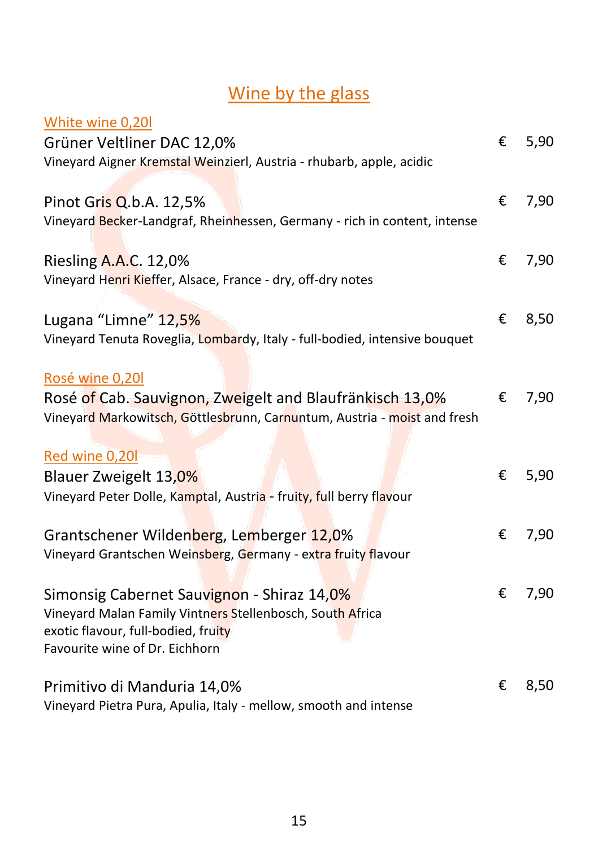# Wine by the glass

<span id="page-14-1"></span><span id="page-14-0"></span>

| White wine 0,20                                                                                                                                                                  |   |      |
|----------------------------------------------------------------------------------------------------------------------------------------------------------------------------------|---|------|
| Grüner Veltliner DAC 12,0%                                                                                                                                                       | € | 5,90 |
| Vineyard Aigner Kremstal Weinzierl, Austria - rhubarb, apple, acidic                                                                                                             |   |      |
| Pinot Gris Q.b.A. 12,5%<br>Vineyard Becker-Landgraf, Rheinhessen, Germany - rich in content, intense                                                                             | € | 7,90 |
| Riesling A.A.C. 12,0%<br>Vineyard Henri Kieffer, Alsace, France - dry, off-dry notes                                                                                             | € | 7,90 |
| Lugana "Limne" 12,5%<br>Vineyard Tenuta Roveglia, Lombardy, Italy - full-bodied, intensive bouquet                                                                               | € | 8,50 |
| Rosé wine 0,20l<br>Rosé of Cab. Sauvignon, Zweigelt and Blaufränkisch 13,0%<br>Vineyard Markowitsch, Göttlesbrunn, Carnuntum, Austria - moist and fresh                          | € | 7,90 |
| Red wine 0,20l<br>Blauer Zweigelt 13,0%<br>Vineyard Peter Dolle, Kamptal, Austria - fruity, full berry flavour                                                                   | € | 5,90 |
| Grantschener Wildenberg, Lemberger 12,0%<br>Vineyard Grantschen Weinsberg, Germany - extra fruity flavour                                                                        | € | 7,90 |
| Simonsig Cabernet Sauvignon - Shiraz 14,0%<br>Vineyard Malan Family Vintners Stellenbosch, South Africa<br>exotic flavour, full-bodied, fruity<br>Favourite wine of Dr. Eichhorn | € | 7,90 |
| Primitivo di Manduria 14,0%<br>Vineyard Pietra Pura, Apulia, Italy - mellow, smooth and intense                                                                                  | € | 8,50 |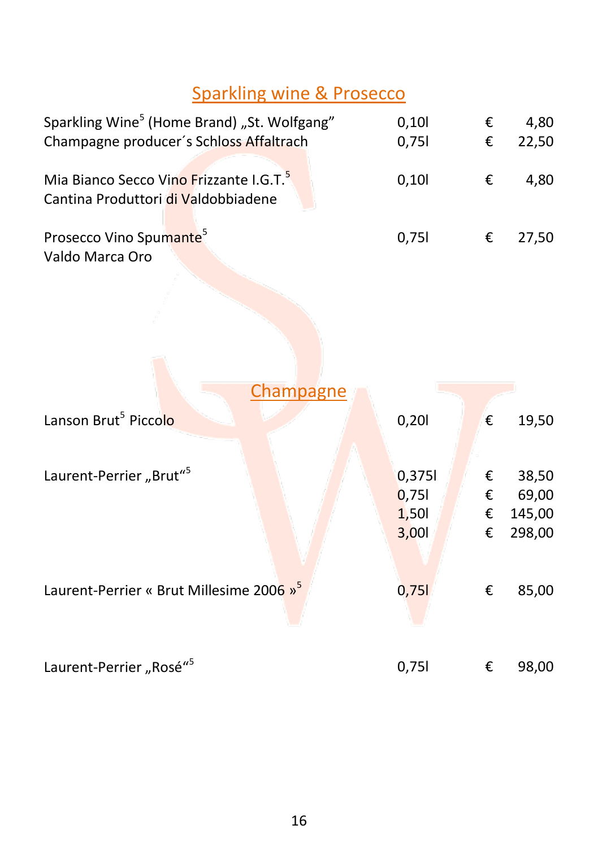# Sparkling wine & Prosecco

| Sparkling Wine <sup>5</sup> (Home Brand) "St. Wolfgang"<br>Champagne producer's Schloss Affaltrach | 0,101<br>0,751 | €<br>€ | 4.80<br>22,50 |
|----------------------------------------------------------------------------------------------------|----------------|--------|---------------|
| Mia Bianco Secco Vino Frizzante I.G.T. <sup>5</sup><br>Cantina Produttori di Valdobbiadene         | 0.101          | €      | 4.80          |
| Prosecco Vino Spumante <sup>5</sup><br>Valdo Marca Oro                                             | 0.751          | €      | 27.50         |

<span id="page-15-0"></span>

| Champagne                                            |        |   |        |
|------------------------------------------------------|--------|---|--------|
| Lanson Brut <sup>5</sup> Piccolo                     | 0,201  | € | 19,50  |
| Laurent-Perrier "Brut" <sup>5</sup>                  | 0,3751 | € | 38,50  |
|                                                      | 0,751  | € | 69,00  |
|                                                      | 1,501  | € | 145,00 |
|                                                      | 3,001  | € | 298,00 |
|                                                      |        |   |        |
| Laurent-Perrier « Brut Millesime 2006 » <sup>5</sup> | 0,751  | € | 85,00  |
| Laurent-Perrier "Rosé" <sup>5</sup>                  | 0,751  | € | 98,00  |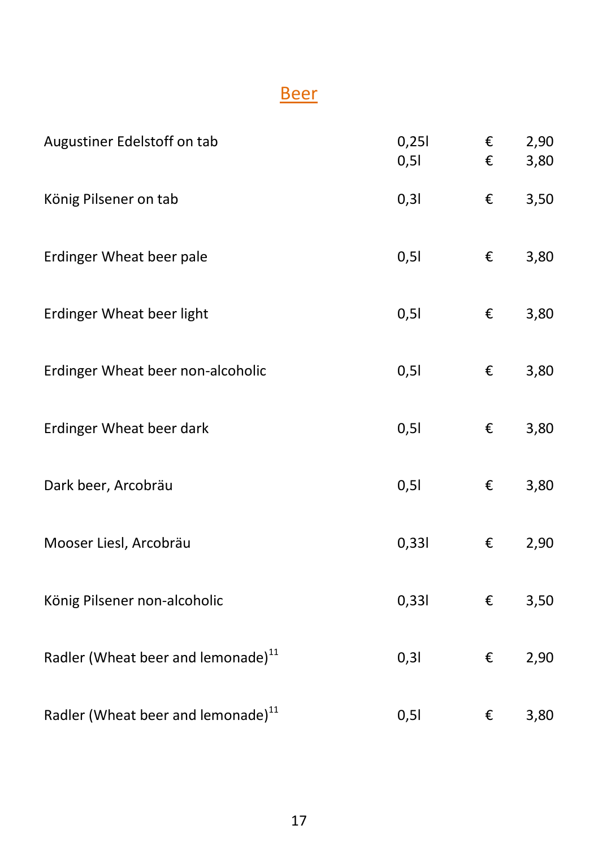# **Beer**

<span id="page-16-0"></span>

| Augustiner Edelstoff on tab                    | 0,251<br>0,51 | €<br>€ | 2,90<br>3,80 |
|------------------------------------------------|---------------|--------|--------------|
| König Pilsener on tab                          | 0,31          | €      | 3,50         |
| Erdinger Wheat beer pale                       | 0,51          | €      | 3,80         |
| Erdinger Wheat beer light                      | 0,51          | €      | 3,80         |
| Erdinger Wheat beer non-alcoholic              | 0,51          | €      | 3,80         |
| Erdinger Wheat beer dark                       | 0,51          | €      | 3,80         |
| Dark beer, Arcobräu                            | 0,51          | €      | 3,80         |
| Mooser Liesl, Arcobräu                         | 0,331         | €      | 2,90         |
| König Pilsener non-alcoholic                   | 0,331         | €      | 3,50         |
| Radler (Wheat beer and lemonade) <sup>11</sup> | 0,31          | €      | 2,90         |
| Radler (Wheat beer and lemonade) <sup>11</sup> | 0,51          | €      | 3,80         |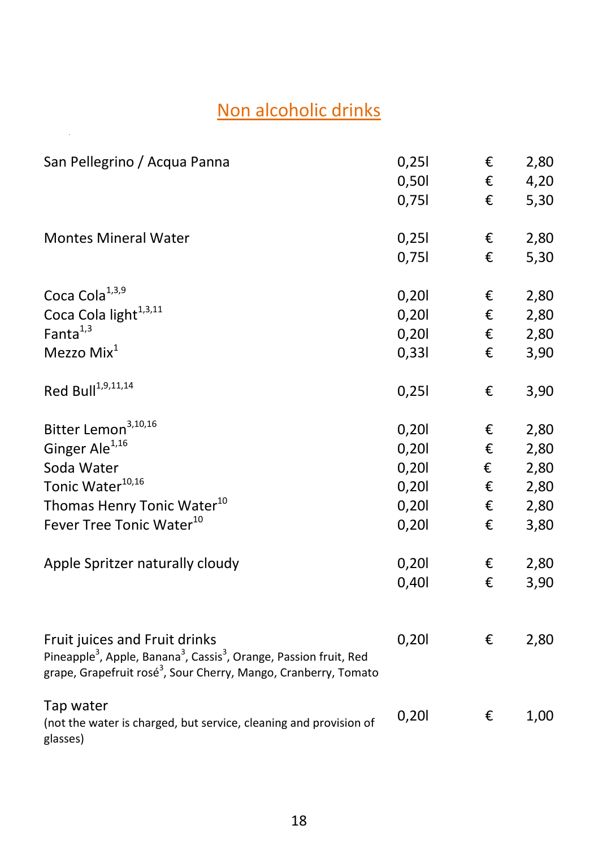# Non alcoholic drinks

<span id="page-17-0"></span>.

| San Pellegrino / Acqua Panna                                                                                                                                                                                                     | 0,251<br>0,501<br>0,751                                              | €<br>€<br>€                          | 2,80<br>4,20<br>5,30                                         |
|----------------------------------------------------------------------------------------------------------------------------------------------------------------------------------------------------------------------------------|----------------------------------------------------------------------|--------------------------------------|--------------------------------------------------------------|
| <b>Montes Mineral Water</b>                                                                                                                                                                                                      | 0,251<br>0,751                                                       | €<br>€                               | 2,80<br>5,30                                                 |
| Coca Cola <sup>1,3,9</sup><br>Coca Cola light <sup>1,3,11</sup><br>Fanta <sup>1,3</sup><br>Mezzo Mix <sup>1</sup>                                                                                                                | 0,201<br>0,201<br>0,201<br>0,331                                     | €<br>€<br>€<br>€                     | 2,80<br>2,80<br>2,80<br>3,90                                 |
| Red Bull <sup>1,9,11,14</sup>                                                                                                                                                                                                    | 0,251                                                                | €                                    | 3,90                                                         |
| Bitter Lemon <sup>3,10,16</sup><br>Ginger Ale <sup>1,16</sup><br>Soda Water<br>Tonic Water <sup>10,16</sup><br>Thomas Henry Tonic Water <sup>10</sup><br>Fever Tree Tonic Water <sup>10</sup><br>Apple Spritzer naturally cloudy | 0,201<br>0,201<br>0,201<br>0,201<br>0,201<br>0,201<br>0,201<br>0,401 | €<br>€<br>€<br>€<br>€<br>€<br>€<br>€ | 2,80<br>2,80<br>2,80<br>2,80<br>2,80<br>3,80<br>2,80<br>3,90 |
| Fruit juices and Fruit drinks<br>Pineapple <sup>3</sup> , Apple, Banana <sup>3</sup> , Cassis <sup>3</sup> , Orange, Passion fruit, Red<br>grape, Grapefruit rosé <sup>3</sup> , Sour Cherry, Mango, Cranberry, Tomato           | 0,201                                                                | €                                    | 2,80                                                         |
| Tap water<br>(not the water is charged, but service, cleaning and provision of<br>glasses)                                                                                                                                       | 0,201                                                                | €                                    | 1,00                                                         |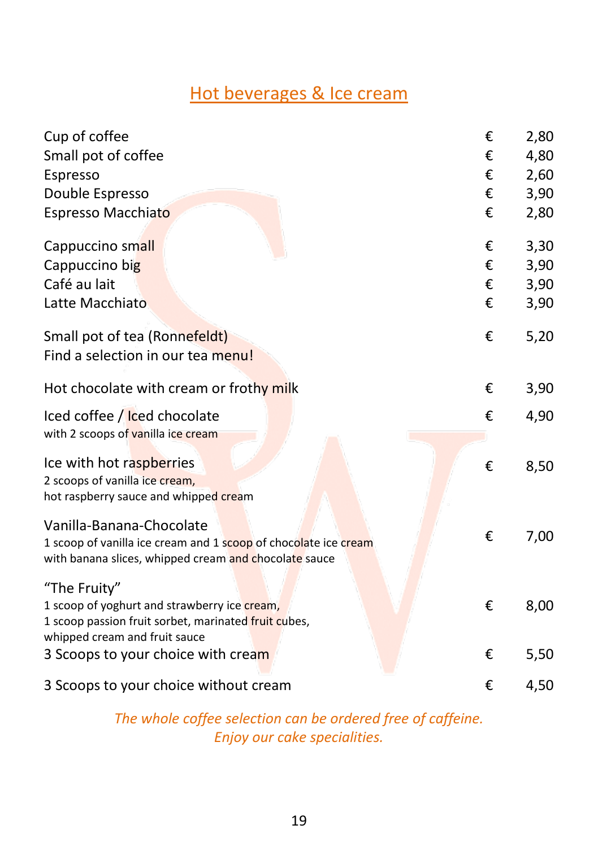### Hot beverages & Ice cream

<span id="page-18-0"></span>

| Cup of coffee                                                                         | € | 2,80 |
|---------------------------------------------------------------------------------------|---|------|
| Small pot of coffee                                                                   | € | 4,80 |
| Espresso                                                                              | € | 2,60 |
| Double Espresso                                                                       | € | 3,90 |
| Espresso Macchiato                                                                    | € | 2,80 |
| Cappuccino small                                                                      | € | 3,30 |
| Cappuccino big                                                                        | € | 3,90 |
| Café au lait                                                                          | € | 3,90 |
| Latte Macchiato                                                                       | € | 3,90 |
| Small pot of tea (Ronnefeldt)                                                         | € | 5,20 |
| Find a selection in our tea menu!                                                     |   |      |
| Hot chocolate with cream or frothy milk                                               | € | 3,90 |
| Iced coffee / Iced chocolate                                                          | € | 4,90 |
| with 2 scoops of vanilla ice cream                                                    |   |      |
| Ice with hot raspberries                                                              | € | 8,50 |
| 2 scoops of vanilla ice cream,                                                        |   |      |
| hot raspberry sauce and whipped cream                                                 |   |      |
| Vanilla-Banana-Chocolate                                                              |   |      |
| 1 scoop of vanilla ice cream and 1 scoop of chocolate ice cream                       | € | 7,00 |
| with banana slices, whipped cream and chocolate sauce                                 |   |      |
| "The Fruity"                                                                          |   |      |
| 1 scoop of yoghurt and strawberry ice cream,                                          | € | 8,00 |
| 1 scoop passion fruit sorbet, marinated fruit cubes,<br>whipped cream and fruit sauce |   |      |
| 3 Scoops to your choice with cream                                                    | € | 5,50 |
|                                                                                       |   |      |
| 3 Scoops to your choice without cream                                                 | € | 4,50 |
|                                                                                       |   |      |

*The whole coffee selection can be ordered free of caffeine. Enjoy our cake specialities.*